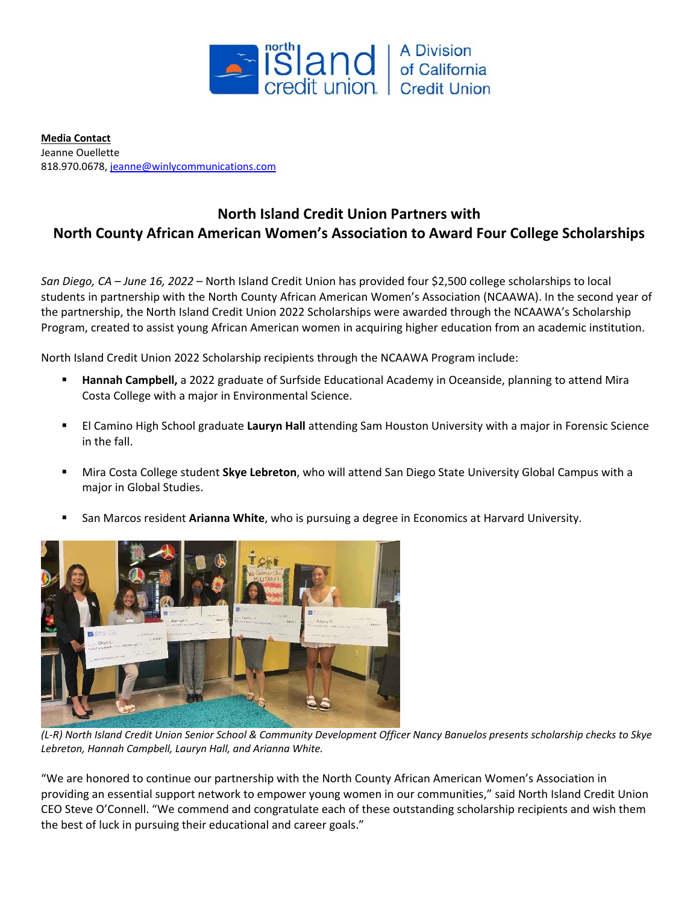

**Media Contact** Jeanne Ouellette 818.970.0678[, jeanne@winlycommunications.com](mailto:jeanne@winlycommunications.com)

## **North Island Credit Union Partners with North County African American Women's Association to Award Four College Scholarships**

*San Diego, CA – June 16, 2022* – North Island Credit Union has provided four \$2,500 college scholarships to local students in partnership with the North County African American Women's Association (NCAAWA). In the second year of the partnership, the North Island Credit Union 2022 Scholarships were awarded through the NCAAWA's Scholarship Program, created to assist young African American women in acquiring higher education from an academic institution.

North Island Credit Union 2022 Scholarship recipients through the NCAAWA Program include:

- **Hannah Campbell,** a 2022 graduate of Surfside Educational Academy in Oceanside, planning to attend Mira Costa College with a major in Environmental Science.
- El Camino High School graduate **Lauryn Hall** attending Sam Houston University with a major in Forensic Science in the fall.
- Mira Costa College student **Skye Lebreton**, who will attend San Diego State University Global Campus with a major in Global Studies.
- San Marcos resident **Arianna White**, who is pursuing a degree in Economics at Harvard University.



*(L-R) North Island Credit Union Senior School & Community Development Officer Nancy Banuelos presents scholarship checks to Skye Lebreton, Hannah Campbell, Lauryn Hall, and Arianna White.*

"We are honored to continue our partnership with the North County African American Women's Association in providing an essential support network to empower young women in our communities," said North Island Credit Union CEO Steve O'Connell. "We commend and congratulate each of these outstanding scholarship recipients and wish them the best of luck in pursuing their educational and career goals."